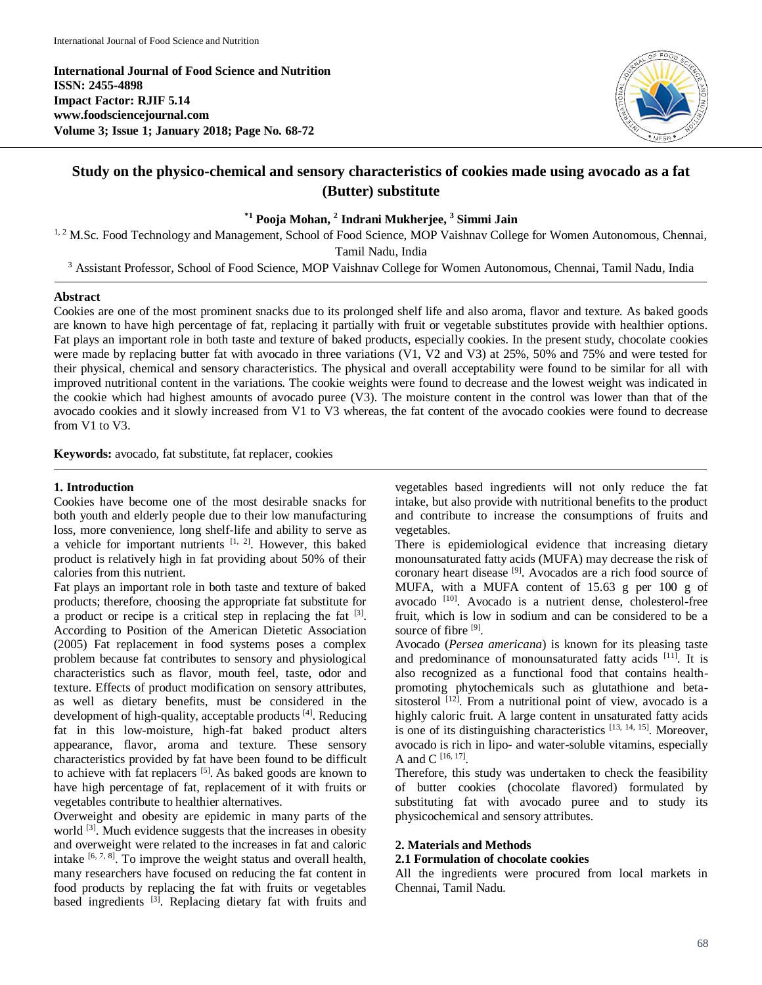**International Journal of Food Science and Nutrition ISSN: 2455-4898 Impact Factor: RJIF 5.14 www.foodsciencejournal.com Volume 3; Issue 1; January 2018; Page No. 68-72**



# **Study on the physico-chemical and sensory characteristics of cookies made using avocado as a fat (Butter) substitute**

**\*1 Pooja Mohan, 2 Indrani Mukherjee, <sup>3</sup> Simmi Jain**

<sup>1, 2</sup> M.Sc. Food Technology and Management, School of Food Science, MOP Vaishnav College for Women Autonomous, Chennai, Tamil Nadu, India

<sup>3</sup> Assistant Professor, School of Food Science, MOP Vaishnav College for Women Autonomous, Chennai, Tamil Nadu, India

# **Abstract**

Cookies are one of the most prominent snacks due to its prolonged shelf life and also aroma, flavor and texture. As baked goods are known to have high percentage of fat, replacing it partially with fruit or vegetable substitutes provide with healthier options. Fat plays an important role in both taste and texture of baked products, especially cookies. In the present study, chocolate cookies were made by replacing butter fat with avocado in three variations (V1, V2 and V3) at 25%, 50% and 75% and were tested for their physical, chemical and sensory characteristics. The physical and overall acceptability were found to be similar for all with improved nutritional content in the variations. The cookie weights were found to decrease and the lowest weight was indicated in the cookie which had highest amounts of avocado puree (V3). The moisture content in the control was lower than that of the avocado cookies and it slowly increased from V1 to V3 whereas, the fat content of the avocado cookies were found to decrease from V1 to V3.

**Keywords:** avocado, fat substitute, fat replacer, cookies

# **1. Introduction**

Cookies have become one of the most desirable snacks for both youth and elderly people due to their low manufacturing loss, more convenience, long shelf-life and ability to serve as a vehicle for important nutrients  $[1, 2]$ . However, this baked product is relatively high in fat providing about 50% of their calories from this nutrient.

Fat plays an important role in both taste and texture of baked products; therefore, choosing the appropriate fat substitute for a product or recipe is a critical step in replacing the fat  $[3]$ . According to Position of the American Dietetic Association (2005) Fat replacement in food systems poses a complex problem because fat contributes to sensory and physiological characteristics such as flavor, mouth feel, taste, odor and texture. Effects of product modification on sensory attributes, as well as dietary benefits, must be considered in the development of high-quality, acceptable products [4]. Reducing fat in this low-moisture, high-fat baked product alters appearance, flavor, aroma and texture. These sensory characteristics provided by fat have been found to be difficult to achieve with fat replacers <sup>[5]</sup>. As baked goods are known to have high percentage of fat, replacement of it with fruits or vegetables contribute to healthier alternatives.

Overweight and obesity are epidemic in many parts of the world <sup>[3]</sup>. Much evidence suggests that the increases in obesity and overweight were related to the increases in fat and caloric intake  $[6, 7, 8]$ . To improve the weight status and overall health, many researchers have focused on reducing the fat content in food products by replacing the fat with fruits or vegetables based ingredients <sup>[3]</sup>. Replacing dietary fat with fruits and

vegetables based ingredients will not only reduce the fat intake, but also provide with nutritional benefits to the product and contribute to increase the consumptions of fruits and vegetables.

There is epidemiological evidence that increasing dietary monounsaturated fatty acids (MUFA) may decrease the risk of coronary heart disease [9]. Avocados are a rich food source of MUFA, with a MUFA content of 15.63 g per 100 g of avocado [10]. Avocado is a nutrient dense, cholesterol-free fruit, which is low in sodium and can be considered to be a source of fibre [9].

Avocado (*Persea americana*) is known for its pleasing taste and predominance of monounsaturated fatty acids  $[11]$ . It is also recognized as a functional food that contains healthpromoting phytochemicals such as glutathione and betasitosterol  $[12]$ . From a nutritional point of view, avocado is a highly caloric fruit. A large content in unsaturated fatty acids is one of its distinguishing characteristics [13, 14, 15]. Moreover, avocado is rich in lipo- and water-soluble vitamins, especially A and C  $^{[16, 17]}$ .

Therefore, this study was undertaken to check the feasibility of butter cookies (chocolate flavored) formulated by substituting fat with avocado puree and to study its physicochemical and sensory attributes.

# **2. Materials and Methods**

# **2.1 Formulation of chocolate cookies**

All the ingredients were procured from local markets in Chennai, Tamil Nadu.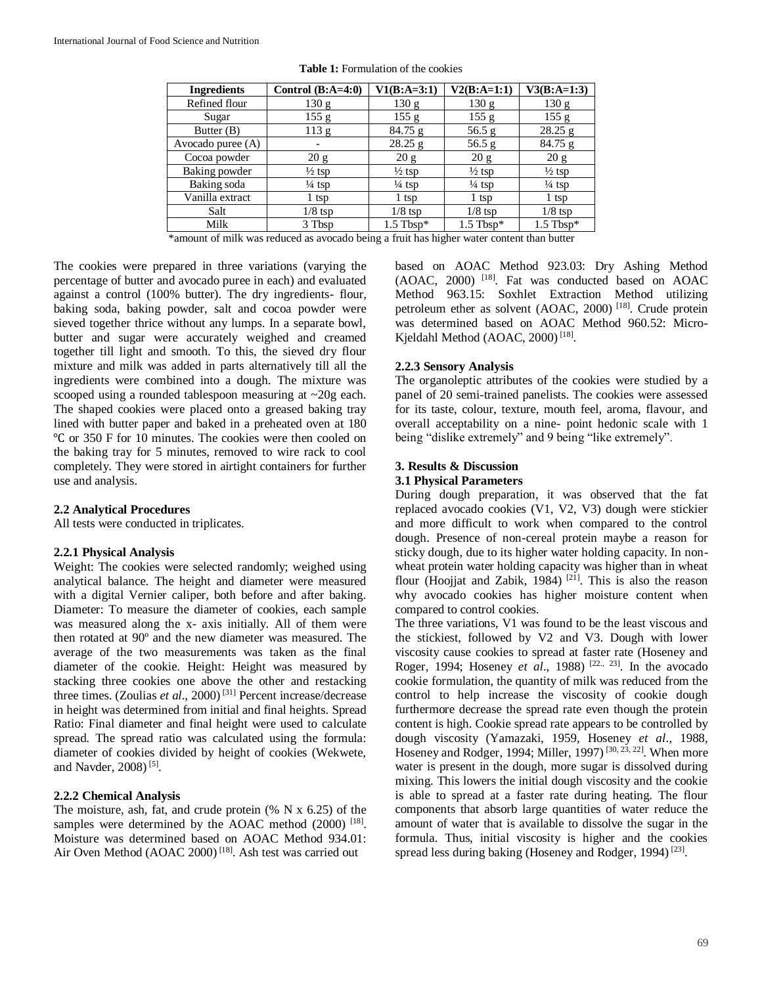| <b>Ingredients</b> | Control $(B:A=4:0)$      | $V1(B:A=3:1)$     | $V2(B:A=1:1)$     | $V3(B:A=1:3)$     |
|--------------------|--------------------------|-------------------|-------------------|-------------------|
| Refined flour      | 130 g                    | 130 g             | 130 g             | 130 g             |
| Sugar              | 155 g                    | 155 g             | 155 g             | 155 g             |
| Butter (B)         | 113 g                    | 84.75 g           | 56.5 g            | $28.25$ g         |
| Avocado puree (A)  | $\overline{\phantom{a}}$ | 28.25 g           | 56.5 g            | $84.75$ g         |
| Cocoa powder       | 20 g                     | 20 g              | 20 g              | 20 g              |
| Baking powder      | $\frac{1}{2}$ tsp        | $\frac{1}{2}$ tsp | $\frac{1}{2}$ tsp | $\frac{1}{2}$ tsp |
| Baking soda        | $\frac{1}{4}$ tsp        | $\frac{1}{4}$ tsp | $\frac{1}{4}$ tsp | $\frac{1}{4}$ tsp |
| Vanilla extract    | 1 tsp                    | 1 tsp             | $1$ tsp           | 1 tsp             |
| Salt               | $1/8$ tsp                | $1/8$ tsp         | $1/8$ tsp         | $1/8$ tsp         |
| Milk               | 3 Tbsp                   | $1.5$ Tbsp*       | $1.5$ Tbsp*       | $1.5$ Tbsp*       |

**Table 1:** Formulation of the cookies

\*amount of milk was reduced as avocado being a fruit has higher water content than butter

The cookies were prepared in three variations (varying the percentage of butter and avocado puree in each) and evaluated against a control (100% butter). The dry ingredients- flour, baking soda, baking powder, salt and cocoa powder were sieved together thrice without any lumps. In a separate bowl, butter and sugar were accurately weighed and creamed together till light and smooth. To this, the sieved dry flour mixture and milk was added in parts alternatively till all the ingredients were combined into a dough. The mixture was scooped using a rounded tablespoon measuring at ~20g each. The shaped cookies were placed onto a greased baking tray lined with butter paper and baked in a preheated oven at 180 ℃ or 350 F for 10 minutes. The cookies were then cooled on the baking tray for 5 minutes, removed to wire rack to cool completely. They were stored in airtight containers for further use and analysis.

# **2.2 Analytical Procedures**

All tests were conducted in triplicates.

# **2.2.1 Physical Analysis**

Weight: The cookies were selected randomly; weighed using analytical balance. The height and diameter were measured with a digital Vernier caliper, both before and after baking. Diameter: To measure the diameter of cookies, each sample was measured along the x- axis initially. All of them were then rotated at 90º and the new diameter was measured. The average of the two measurements was taken as the final diameter of the cookie. Height: Height was measured by stacking three cookies one above the other and restacking three times. (Zoulias *et al*., 2000) [31] Percent increase/decrease in height was determined from initial and final heights. Spread Ratio: Final diameter and final height were used to calculate spread. The spread ratio was calculated using the formula: diameter of cookies divided by height of cookies (Wekwete, and Navder, 2008)<sup>[5]</sup>.

#### **2.2.2 Chemical Analysis**

The moisture, ash, fat, and crude protein (% N x 6.25) of the samples were determined by the AOAC method  $(2000)$ <sup>[18]</sup>. Moisture was determined based on AOAC Method 934.01: Air Oven Method (AOAC 2000)<sup>[18]</sup>. Ash test was carried out

based on AOAC Method 923.03: Dry Ashing Method (AOAC, 2000) [18] . Fat was conducted based on AOAC Method 963.15: Soxhlet Extraction Method utilizing petroleum ether as solvent (AOAC, 2000)<sup>[18]</sup>. Crude protein was determined based on AOAC Method 960.52: Micro-Kjeldahl Method (AOAC, 2000)<sup>[18]</sup>.

#### **2.2.3 Sensory Analysis**

The organoleptic attributes of the cookies were studied by a panel of 20 semi-trained panelists. The cookies were assessed for its taste, colour, texture, mouth feel, aroma, flavour, and overall acceptability on a nine- point hedonic scale with 1 being "dislike extremely" and 9 being "like extremely".

#### **3. Results & Discussion**

#### **3.1 Physical Parameters**

During dough preparation, it was observed that the fat replaced avocado cookies (V1, V2, V3) dough were stickier and more difficult to work when compared to the control dough. Presence of non-cereal protein maybe a reason for sticky dough, due to its higher water holding capacity. In nonwheat protein water holding capacity was higher than in wheat flour (Hoojjat and Zabik, 1984)<sup>[21]</sup>. This is also the reason why avocado cookies has higher moisture content when compared to control cookies.

The three variations, V1 was found to be the least viscous and the stickiest, followed by V2 and V3. Dough with lower viscosity cause cookies to spread at faster rate (Hoseney and Roger, 1994; Hoseney *et al.*, 1988)<sup>[22., 23]</sup>. In the avocado cookie formulation, the quantity of milk was reduced from the control to help increase the viscosity of cookie dough furthermore decrease the spread rate even though the protein content is high. Cookie spread rate appears to be controlled by dough viscosity (Yamazaki, 1959, Hoseney *et al*., 1988, Hoseney and Rodger, 1994; Miller, 1997)<sup>[30, 23, 22]</sup>. When more water is present in the dough, more sugar is dissolved during mixing. This lowers the initial dough viscosity and the cookie is able to spread at a faster rate during heating. The flour components that absorb large quantities of water reduce the amount of water that is available to dissolve the sugar in the formula. Thus, initial viscosity is higher and the cookies spread less during baking (Hoseney and Rodger, 1994)<sup>[23]</sup>.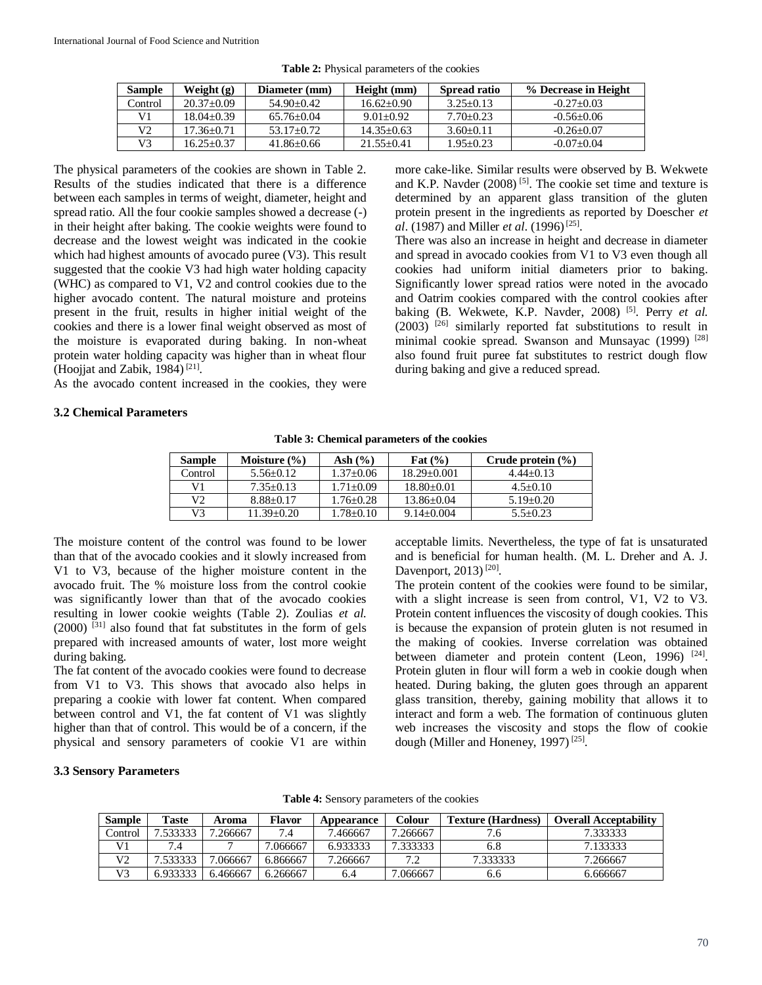| <b>Sample</b> | Weight $(g)$   | Diameter (mm)  | Height (mm)    | Spread ratio  | % Decrease in Height |
|---------------|----------------|----------------|----------------|---------------|----------------------|
| Control       | $20.37+0.09$   | $54.90+0.42$   | $16.62+0.90$   | $3.25 + 0.13$ | $-0.27+0.03$         |
| V1.           | $18.04 + 0.39$ | $65.76 + 0.04$ | $9.01 + 0.92$  | $7.70 + 0.23$ | $-0.56+0.06$         |
| V2            | $17.36 + 0.71$ | $53.17 + 0.72$ | $14.35 + 0.63$ | $3.60 + 0.11$ | $-0.26+0.07$         |
| V3            | $16.25 + 0.37$ | $41.86 + 0.66$ | $21.55+0.41$   | $1.95 + 0.23$ | $-0.07+0.04$         |

**Table 2:** Physical parameters of the cookies

The physical parameters of the cookies are shown in Table 2. Results of the studies indicated that there is a difference between each samples in terms of weight, diameter, height and spread ratio. All the four cookie samples showed a decrease (-) in their height after baking. The cookie weights were found to decrease and the lowest weight was indicated in the cookie which had highest amounts of avocado puree (V3). This result suggested that the cookie V3 had high water holding capacity (WHC) as compared to V1, V2 and control cookies due to the higher avocado content. The natural moisture and proteins present in the fruit, results in higher initial weight of the cookies and there is a lower final weight observed as most of the moisture is evaporated during baking. In non-wheat protein water holding capacity was higher than in wheat flour (Hoojjat and Zabik, 1984)<sup>[21]</sup>.

As the avocado content increased in the cookies, they were

#### **3.2 Chemical Parameters**

more cake-like. Similar results were observed by B. Wekwete and K.P. Navder  $(2008)^{5}$ . The cookie set time and texture is determined by an apparent glass transition of the gluten protein present in the ingredients as reported by Doescher *et al.* (1987) and Miller *et al.* (1996)<sup>[25]</sup>.

There was also an increase in height and decrease in diameter and spread in avocado cookies from V1 to V3 even though all cookies had uniform initial diameters prior to baking. Significantly lower spread ratios were noted in the avocado and Oatrim cookies compared with the control cookies after baking (B. Wekwete, K.P. Navder, 2008)<sup>[5]</sup>. Perry *et al.* (2003) [26] similarly reported fat substitutions to result in minimal cookie spread. Swanson and Munsayac (1999) <sup>[28]</sup> also found fruit puree fat substitutes to restrict dough flow during baking and give a reduced spread.

| <b>Sample</b> | Moisture $(\% )$ | Ash $(\%)$    | Fat $(\% )$     | Crude protein $(\% )$ |
|---------------|------------------|---------------|-----------------|-----------------------|
| Control       | $5.56 + 0.12$    | $1.37+0.06$   | $18.29 + 0.001$ | $4.44+0.13$           |
| V1            | $7.35 \pm 0.13$  | $1.71 + 0.09$ | $18.80 + 0.01$  | $4.5+0.10$            |
| V2            | $8.88 + 0.17$    | $1.76 + 0.28$ | $13.86 + 0.04$  | $5.19 + 0.20$         |
| V3            | $11.39 + 0.20$   | $1.78 + 0.10$ | $9.14 + 0.004$  | $5.5 + 0.23$          |

**Table 3: Chemical parameters of the cookies**

The moisture content of the control was found to be lower than that of the avocado cookies and it slowly increased from V1 to V3, because of the higher moisture content in the avocado fruit. The % moisture loss from the control cookie was significantly lower than that of the avocado cookies resulting in lower cookie weights (Table 2). Zoulias *et al.*   $(2000)$ <sup>[31]</sup> also found that fat substitutes in the form of gels prepared with increased amounts of water, lost more weight during baking.

The fat content of the avocado cookies were found to decrease from V1 to V3. This shows that avocado also helps in preparing a cookie with lower fat content. When compared between control and V1, the fat content of V1 was slightly higher than that of control. This would be of a concern, if the physical and sensory parameters of cookie V1 are within acceptable limits. Nevertheless, the type of fat is unsaturated and is beneficial for human health. (M. L. Dreher and A. J. Davenport, 2013)<sup>[20]</sup>.

The protein content of the cookies were found to be similar, with a slight increase is seen from control, V1, V2 to V3. Protein content influences the viscosity of dough cookies. This is because the expansion of protein gluten is not resumed in the making of cookies. Inverse correlation was obtained between diameter and protein content (Leon, 1996)  $[24]$ . Protein gluten in flour will form a web in cookie dough when heated. During baking, the gluten goes through an apparent glass transition, thereby, gaining mobility that allows it to interact and form a web. The formation of continuous gluten web increases the viscosity and stops the flow of cookie dough (Miller and Honeney, 1997)<sup>[25]</sup>.

#### **3.3 Sensory Parameters**

| <b>Sample</b>  | Taste    | Aroma    | Flavor   | Appearance | Colour   | <b>Texture (Hardness)</b> | <b>Overall Acceptability</b> |
|----------------|----------|----------|----------|------------|----------|---------------------------|------------------------------|
| control.       | .533333  | 7.266667 |          | '.466667   | 7.266667 |                           | 7.333333                     |
| V <sub>1</sub> | 7.4      |          | .066667  | 6.933333   | 7.333333 | 6.8                       | 7.133333                     |
| V2             | 7.533333 | .066667  | 6.866667 | 7.266667   | 70       | 7.333333                  | 7.266667                     |
| V3             | 6.933333 | 6.466667 | 6.266667 | 6.4        | 7.066667 | 6.6                       | 6.666667                     |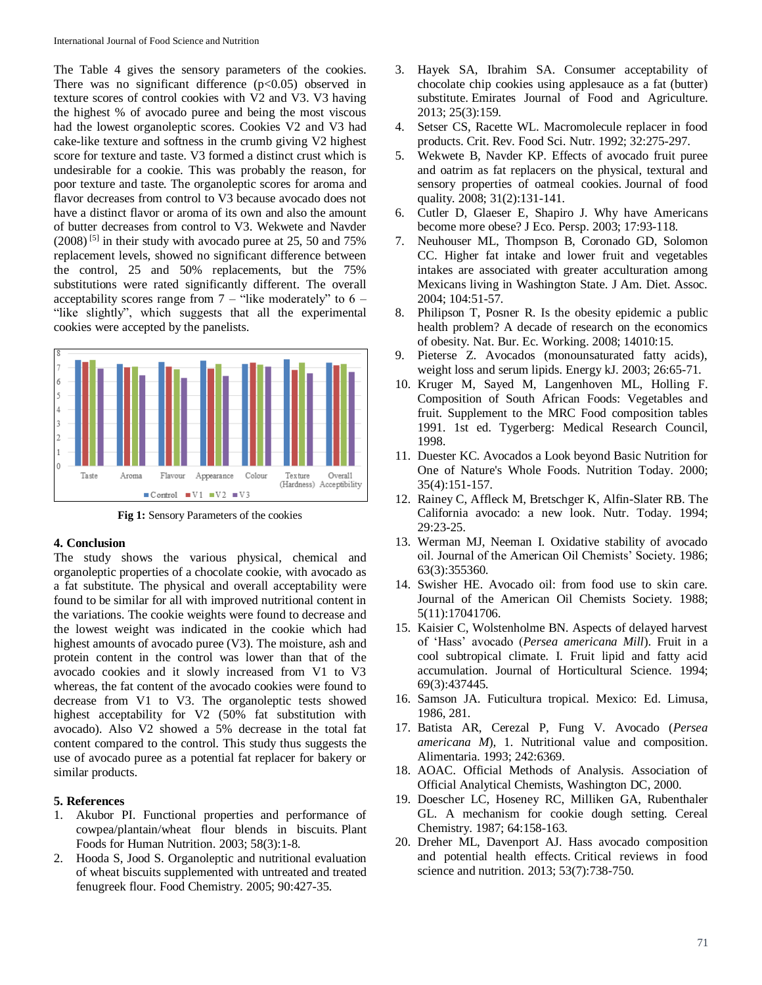The Table 4 gives the sensory parameters of the cookies. There was no significant difference  $(p<0.05)$  observed in texture scores of control cookies with V2 and V3. V3 having the highest % of avocado puree and being the most viscous had the lowest organoleptic scores. Cookies V2 and V3 had cake-like texture and softness in the crumb giving V2 highest score for texture and taste. V3 formed a distinct crust which is undesirable for a cookie. This was probably the reason, for poor texture and taste. The organoleptic scores for aroma and flavor decreases from control to V3 because avocado does not have a distinct flavor or aroma of its own and also the amount of butter decreases from control to V3. Wekwete and Navder  $(2008)$ <sup>[5]</sup> in their study with avocado puree at 25, 50 and 75% replacement levels, showed no significant difference between the control, 25 and 50% replacements, but the 75% substitutions were rated significantly different. The overall acceptability scores range from  $7 -$  "like moderately" to  $6 -$ "like slightly", which suggests that all the experimental cookies were accepted by the panelists.



**Fig 1:** Sensory Parameters of the cookies

#### **4. Conclusion**

The study shows the various physical, chemical and organoleptic properties of a chocolate cookie, with avocado as a fat substitute. The physical and overall acceptability were found to be similar for all with improved nutritional content in the variations. The cookie weights were found to decrease and the lowest weight was indicated in the cookie which had highest amounts of avocado puree (V3). The moisture, ash and protein content in the control was lower than that of the avocado cookies and it slowly increased from V1 to V3 whereas, the fat content of the avocado cookies were found to decrease from V1 to V3. The organoleptic tests showed highest acceptability for V2 (50% fat substitution with avocado). Also V2 showed a 5% decrease in the total fat content compared to the control. This study thus suggests the use of avocado puree as a potential fat replacer for bakery or similar products.

# **5. References**

- 1. Akubor PI. Functional properties and performance of cowpea/plantain/wheat flour blends in biscuits. Plant Foods for Human Nutrition. 2003; 58(3):1-8.
- 2. Hooda S, Jood S. Organoleptic and nutritional evaluation of wheat biscuits supplemented with untreated and treated fenugreek flour. Food Chemistry. 2005; 90:427-35.
- 3. Hayek SA, Ibrahim SA. Consumer acceptability of chocolate chip cookies using applesauce as a fat (butter) substitute. Emirates Journal of Food and Agriculture. 2013; 25(3):159.
- 4. Setser CS, Racette WL. Macromolecule replacer in food products. Crit. Rev. Food Sci. Nutr. 1992; 32:275-297.
- 5. Wekwete B, Navder KP. Effects of avocado fruit puree and oatrim as fat replacers on the physical, textural and sensory properties of oatmeal cookies. Journal of food quality. 2008; 31(2):131-141.
- 6. Cutler D, Glaeser E, Shapiro J. Why have Americans become more obese? J Eco. Persp. 2003; 17:93-118.
- 7. Neuhouser ML, Thompson B, Coronado GD, Solomon CC. Higher fat intake and lower fruit and vegetables intakes are associated with greater acculturation among Mexicans living in Washington State. J Am. Diet. Assoc. 2004; 104:51-57.
- 8. Philipson T, Posner R. Is the obesity epidemic a public health problem? A decade of research on the economics of obesity. Nat. Bur. Ec. Working. 2008; 14010:15.
- 9. Pieterse Z. Avocados (monounsaturated fatty acids), weight loss and serum lipids. Energy kJ. 2003; 26:65-71.
- 10. Kruger M, Sayed M, Langenhoven ML, Holling F. Composition of South African Foods: Vegetables and fruit. Supplement to the MRC Food composition tables 1991. 1st ed. Tygerberg: Medical Research Council, 1998.
- 11. Duester KC. Avocados a Look beyond Basic Nutrition for One of Nature's Whole Foods. Nutrition Today. 2000; 35(4):151-157.
- 12. Rainey C, Affleck M, Bretschger K, Alfin-Slater RB. The California avocado: a new look. Nutr. Today. 1994; 29:23-25.
- 13. Werman MJ, Neeman I. Oxidative stability of avocado oil. Journal of the American Oil Chemists' Society. 1986; 63(3):355360.
- 14. Swisher HE. Avocado oil: from food use to skin care. Journal of the American Oil Chemists Society. 1988; 5(11):17041706.
- 15. Kaisier C, Wolstenholme BN. Aspects of delayed harvest of 'Hass' avocado (*Persea americana Mill*). Fruit in a cool subtropical climate. I. Fruit lipid and fatty acid accumulation. Journal of Horticultural Science. 1994; 69(3):437445.
- 16. Samson JA. Futicultura tropical. Mexico: Ed. Limusa, 1986, 281.
- 17. Batista AR, Cerezal P, Fung V. Avocado (*Persea americana M*), 1. Nutritional value and composition. Alimentaria. 1993; 242:6369.
- 18. AOAC. Official Methods of Analysis. Association of Official Analytical Chemists, Washington DC, 2000.
- 19. Doescher LC, Hoseney RC, Milliken GA, Rubenthaler GL. A mechanism for cookie dough setting. Cereal Chemistry. 1987; 64:158-163.
- 20. Dreher ML, Davenport AJ. Hass avocado composition and potential health effects. Critical reviews in food science and nutrition. 2013; 53(7):738-750.